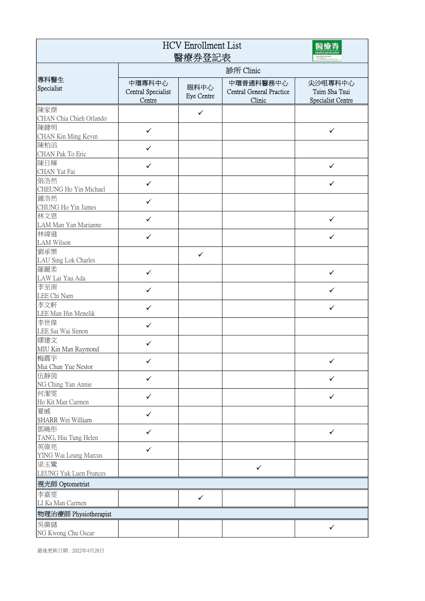| <b>HCV</b> Enrollment List<br>醫療券登記表 |                                        |                           |                                                        |                                               |  |
|--------------------------------------|----------------------------------------|---------------------------|--------------------------------------------------------|-----------------------------------------------|--|
|                                      | 診所 Clinic                              |                           |                                                        |                                               |  |
| 專科醫生<br>Specialist                   | 中環專科中心<br>Central Specialist<br>Centre | 眼科中心<br><b>Eye Centre</b> | 中環普通科醫務中心<br><b>Central General Practice</b><br>Clinic | 尖沙咀專科中心<br>Tsim Sha Tsui<br>Specialist Centre |  |
| 陳家傑<br>CHAN Chia Chieh Orlando       |                                        | ✓                         |                                                        |                                               |  |
| 陳鍵明<br>CHAN Kin Ming Kevin           | $\checkmark$                           |                           |                                                        | $\checkmark$                                  |  |
| 陳柏滔<br>CHAN Pak To Eric              | $\checkmark$                           |                           |                                                        |                                               |  |
| 陳日輝<br>CHAN Yat Fai                  | $\checkmark$                           |                           |                                                        | $\checkmark$                                  |  |
| 張浩然<br>CHEUNG Ho Yin Michael         | ✓                                      |                           |                                                        | $\checkmark$                                  |  |
| 鍾浩然<br>CHUNG Ho Yin James            | $\checkmark$                           |                           |                                                        |                                               |  |
| 林文恩<br>LAM Man Yan Marianne          | ✓                                      |                           |                                                        | $\checkmark$                                  |  |
| 林緯遜<br>LAM Wilson                    | $\checkmark$                           |                           |                                                        | ✓                                             |  |
| 劉承樂<br>LAU Sing Lok Charles          |                                        | $\checkmark$              |                                                        |                                               |  |
| 羅麗柔<br>LAW Lai Yau Ada               | $\checkmark$                           |                           |                                                        | $\checkmark$                                  |  |
| 李至南<br>LEE Chi Nam                   | $\checkmark$                           |                           |                                                        | ✓                                             |  |
| 李文軒<br>LEE Man Hin Menelik           | ✓                                      |                           |                                                        | ✓                                             |  |
| 李世偉<br>LEE Sai Wai Simon             | ✓                                      |                           |                                                        |                                               |  |
| 繆建文<br>MIU Kin Man Raymond           | ✓                                      |                           |                                                        |                                               |  |
| 梅震宇<br>Mui Chun Yue Nestor           | ✓                                      |                           |                                                        | ✓                                             |  |
| 伍靜茵<br>NG Ching Yan Annie            | $\checkmark$                           |                           |                                                        | ✓                                             |  |
| 何潔雯<br>Ho Kit Man Carmen             | ✓                                      |                           |                                                        | ✓                                             |  |
| 夏威<br>SHARR Wei William              | $\checkmark$                           |                           |                                                        |                                               |  |
| 鄧曉彤<br>TANG, Hiu Tung Helen          | ✓                                      |                           |                                                        | $\checkmark$                                  |  |
| 英偉亮<br>YING Wai Leung Marcus         | ✓                                      |                           |                                                        |                                               |  |
| 梁玉鸞<br>LEUNG Yuk Luen Frances        |                                        |                           | $\checkmark$                                           |                                               |  |
| 視光師 Optometrist                      |                                        |                           |                                                        |                                               |  |
| 李嘉雯<br>LI Ka Man Carmen              |                                        | $\checkmark$              |                                                        |                                               |  |
| 物理治療師 Physiotherapist                |                                        |                           |                                                        |                                               |  |
| 吳廣儲<br>NG Kwong Chu Oscar            |                                        |                           |                                                        | ✓                                             |  |

最後更新日期 : 2022年4月28日